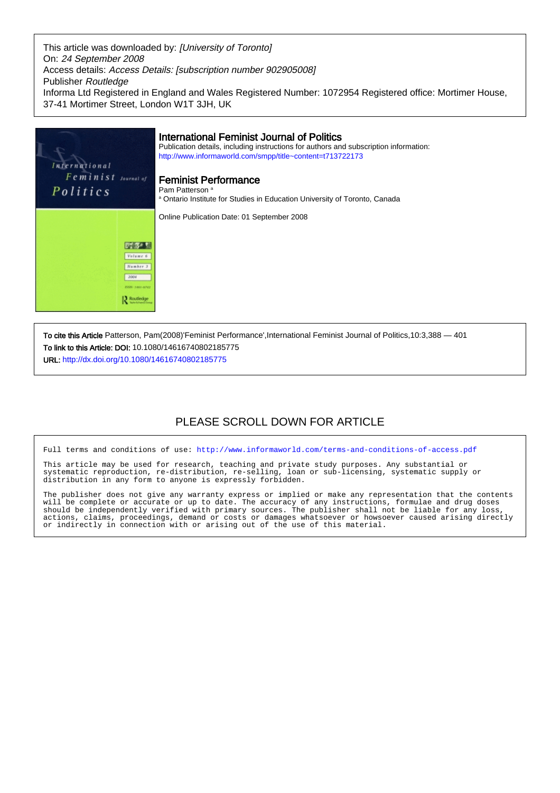This article was downloaded by: [University of Toronto] On: 24 September 2008 Access details: Access Details: [subscription number 902905008] Publisher Routledge Informa Ltd Registered in England and Wales Registered Number: 1072954 Registered office: Mortimer House, 37-41 Mortimer Street, London W1T 3JH, UK



To cite this Article Patterson, Pam(2008)'Feminist Performance',International Feminist Journal of Politics,10:3,388 — 401 To link to this Article: DOI: 10.1080/14616740802185775 URL: <http://dx.doi.org/10.1080/14616740802185775>

# PLEASE SCROLL DOWN FOR ARTICLE

Full terms and conditions of use:<http://www.informaworld.com/terms-and-conditions-of-access.pdf>

This article may be used for research, teaching and private study purposes. Any substantial or systematic reproduction, re-distribution, re-selling, loan or sub-licensing, systematic supply or distribution in any form to anyone is expressly forbidden.

The publisher does not give any warranty express or implied or make any representation that the contents will be complete or accurate or up to date. The accuracy of any instructions, formulae and drug doses should be independently verified with primary sources. The publisher shall not be liable for any loss, actions, claims, proceedings, demand or costs or damages whatsoever or howsoever caused arising directly or indirectly in connection with or arising out of the use of this material.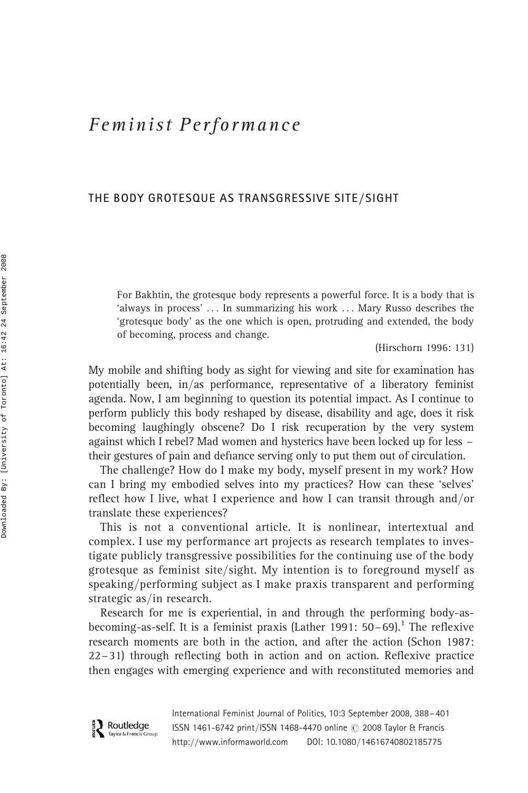# Feminist Performance

# THE BODY GROTESQUE AS TRANSGRESSIVE SITE*/*SIGHT

For Bakhtin, the grotesque body represents a powerful force. It is a body that is 'always in process' ... In summarizing his work ... Mary Russo describes the 'grotesque body' as the one which is open, protruding and extended, the body of becoming, process and change.

(Hirschorn 1996: 131)

My mobile and shifting body as sight for viewing and site for examination has potentially been, in/as performance, representative of a liberatory feminist agenda. Now, I am beginning to question its potential impact. As I continue to perform publicly this body reshaped by disease, disability and age, does it risk becoming laughingly obscene? Do I risk recuperation by the very system against which I rebel? Mad women and hysterics have been locked up for less – their gestures of pain and defiance serving only to put them out of circulation.

The challenge? How do I make my body, myself present in my work? How can I bring my embodied selves into my practices? How can these 'selves' reflect how I live, what I experience and how I can transit through and/or translate these experiences?

This is not a conventional article. It is nonlinear, intertextual and complex. I use my performance art projects as research templates to investigate publicly transgressive possibilities for the continuing use of the body grotesque as feminist site/sight. My intention is to foreground myself as speaking/performing subject as I make praxis transparent and performing strategic as/in research.

Research for me is experiential, in and through the performing body-asbecoming-as-self. It is a feminist praxis (Lather 1991:  $50-69$ ).<sup>1</sup> The reflexive research moments are both in the action, and after the action (Schon 1987: 22–31) through reflecting both in action and on action. Reflexive practice then engages with emerging experience and with reconstituted memories and

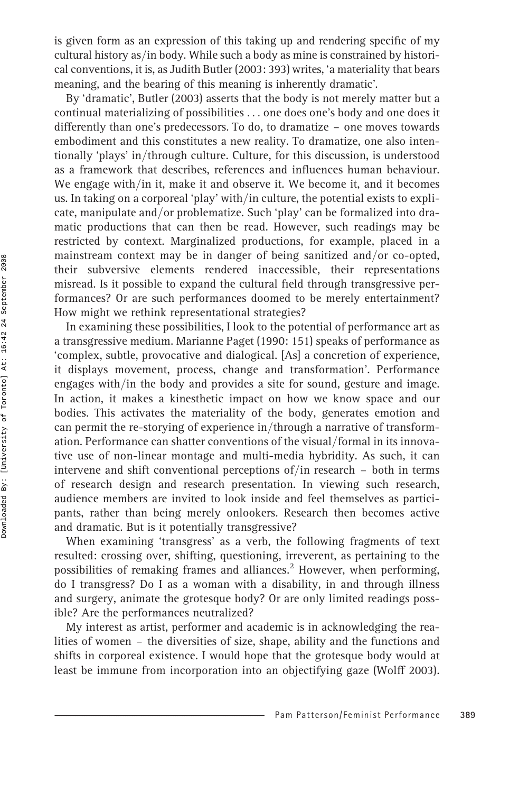is given form as an expression of this taking up and rendering specific of my cultural history as/in body. While such a body as mine is constrained by historical conventions, it is, as Judith Butler (2003: 393) writes, 'a materiality that bears meaning, and the bearing of this meaning is inherently dramatic'.

By 'dramatic', Butler (2003) asserts that the body is not merely matter but a continual materializing of possibilities ... one does one's body and one does it differently than one's predecessors. To do, to dramatize – one moves towards embodiment and this constitutes a new reality. To dramatize, one also intentionally 'plays' in/through culture. Culture, for this discussion, is understood as a framework that describes, references and influences human behaviour. We engage with/in it, make it and observe it. We become it, and it becomes us. In taking on a corporeal 'play' with/in culture, the potential exists to explicate, manipulate and/or problematize. Such 'play' can be formalized into dramatic productions that can then be read. However, such readings may be restricted by context. Marginalized productions, for example, placed in a mainstream context may be in danger of being sanitized and/or co-opted, their subversive elements rendered inaccessible, their representations misread. Is it possible to expand the cultural field through transgressive performances? Or are such performances doomed to be merely entertainment? How might we rethink representational strategies?

In examining these possibilities, I look to the potential of performance art as a transgressive medium. Marianne Paget (1990: 151) speaks of performance as 'complex, subtle, provocative and dialogical. [As] a concretion of experience, it displays movement, process, change and transformation'. Performance engages with/in the body and provides a site for sound, gesture and image. In action, it makes a kinesthetic impact on how we know space and our bodies. This activates the materiality of the body, generates emotion and can permit the re-storying of experience in/through a narrative of transformation. Performance can shatter conventions of the visual/formal in its innovative use of non-linear montage and multi-media hybridity. As such, it can intervene and shift conventional perceptions of/in research – both in terms of research design and research presentation. In viewing such research, audience members are invited to look inside and feel themselves as participants, rather than being merely onlookers. Research then becomes active and dramatic. But is it potentially transgressive?

When examining 'transgress' as a verb, the following fragments of text resulted: crossing over, shifting, questioning, irreverent, as pertaining to the possibilities of remaking frames and alliances. $2$  However, when performing, do I transgress? Do I as a woman with a disability, in and through illness and surgery, animate the grotesque body? Or are only limited readings possible? Are the performances neutralized?

My interest as artist, performer and academic is in acknowledging the realities of women – the diversities of size, shape, ability and the functions and shifts in corporeal existence. I would hope that the grotesque body would at least be immune from incorporation into an objectifying gaze (Wolff 2003).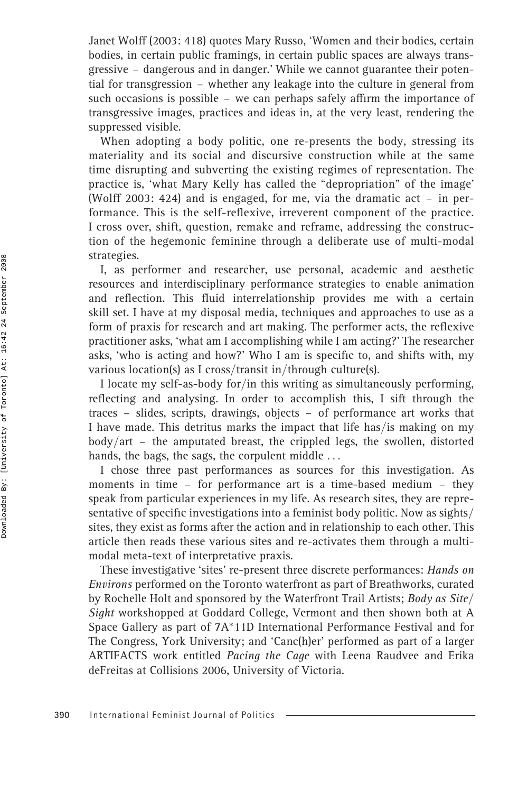Janet Wolff (2003: 418) quotes Mary Russo, 'Women and their bodies, certain bodies, in certain public framings, in certain public spaces are always transgressive – dangerous and in danger.' While we cannot guarantee their potential for transgression – whether any leakage into the culture in general from such occasions is possible – we can perhaps safely affirm the importance of transgressive images, practices and ideas in, at the very least, rendering the suppressed visible.

When adopting a body politic, one re-presents the body, stressing its materiality and its social and discursive construction while at the same time disrupting and subverting the existing regimes of representation. The practice is, 'what Mary Kelly has called the "depropriation" of the image' (Wolff 2003: 424) and is engaged, for me, via the dramatic act – in performance. This is the self-reflexive, irreverent component of the practice. I cross over, shift, question, remake and reframe, addressing the construction of the hegemonic feminine through a deliberate use of multi-modal strategies.

I, as performer and researcher, use personal, academic and aesthetic resources and interdisciplinary performance strategies to enable animation and reflection. This fluid interrelationship provides me with a certain skill set. I have at my disposal media, techniques and approaches to use as a form of praxis for research and art making. The performer acts, the reflexive practitioner asks, 'what am I accomplishing while I am acting?' The researcher asks, 'who is acting and how?' Who I am is specific to, and shifts with, my various location(s) as I cross/transit in/through culture(s).

I locate my self-as-body for/in this writing as simultaneously performing, reflecting and analysing. In order to accomplish this, I sift through the traces – slides, scripts, drawings, objects – of performance art works that I have made. This detritus marks the impact that life has/is making on my body/art – the amputated breast, the crippled legs, the swollen, distorted hands, the bags, the sags, the corpulent middle ...

I chose three past performances as sources for this investigation. As moments in time – for performance art is a time-based medium – they speak from particular experiences in my life. As research sites, they are representative of specific investigations into a feminist body politic. Now as sights/ sites, they exist as forms after the action and in relationship to each other. This article then reads these various sites and re-activates them through a multimodal meta-text of interpretative praxis.

These investigative 'sites' re-present three discrete performances: Hands on Environs performed on the Toronto waterfront as part of Breathworks, curated by Rochelle Holt and sponsored by the Waterfront Trail Artists; Body as Site/ Sight workshopped at Goddard College, Vermont and then shown both at A Space Gallery as part of  $7A<sup>*</sup>11D$  International Performance Festival and for The Congress, York University; and 'Canc(h)er' performed as part of a larger ARTIFACTS work entitled Pacing the Cage with Leena Raudvee and Erika deFreitas at Collisions 2006, University of Victoria.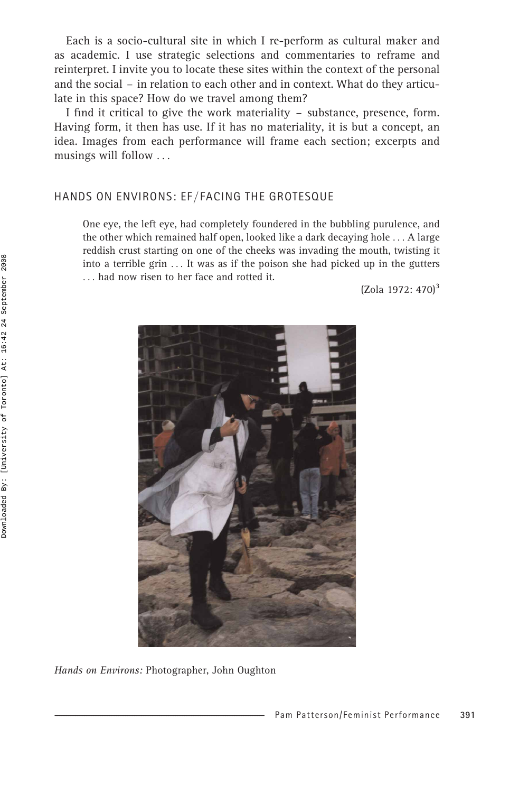Each is a socio-cultural site in which I re-perform as cultural maker and as academic. I use strategic selections and commentaries to reframe and reinterpret. I invite you to locate these sites within the context of the personal and the social – in relation to each other and in context. What do they articulate in this space? How do we travel among them?

I find it critical to give the work materiality – substance, presence, form. Having form, it then has use. If it has no materiality, it is but a concept, an idea. Images from each performance will frame each section; excerpts and musings will follow ...

# HANDS ON ENVIRONS: EF/FACING THE GROTESQUE

One eye, the left eye, had completely foundered in the bubbling purulence, and the other which remained half open, looked like a dark decaying hole ... A large reddish crust starting on one of the cheeks was invading the mouth, twisting it into a terrible grin ... It was as if the poison she had picked up in the gutters ... had now risen to her face and rotted it.

 $(Zola 1972: 470)^3$ 



Hands on Environs: Photographer, John Oughton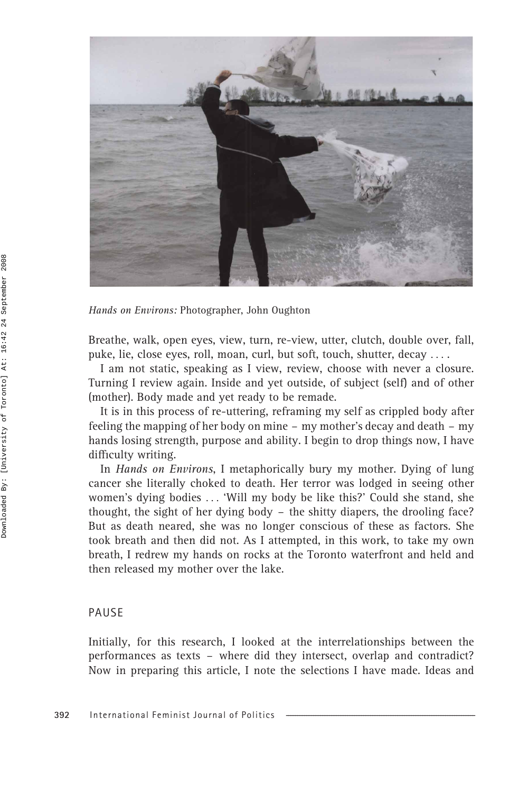

Hands on Environs: Photographer, John Oughton

Breathe, walk, open eyes, view, turn, re-view, utter, clutch, double over, fall, puke, lie, close eyes, roll, moan, curl, but soft, touch, shutter, decay ... .

I am not static, speaking as I view, review, choose with never a closure. Turning I review again. Inside and yet outside, of subject (self) and of other (mother). Body made and yet ready to be remade.

It is in this process of re-uttering, reframing my self as crippled body after feeling the mapping of her body on mine – my mother's decay and death – my hands losing strength, purpose and ability. I begin to drop things now, I have difficulty writing.

In Hands on Environs, I metaphorically bury my mother. Dying of lung cancer she literally choked to death. Her terror was lodged in seeing other women's dying bodies ... 'Will my body be like this?' Could she stand, she thought, the sight of her dying body – the shitty diapers, the drooling face? But as death neared, she was no longer conscious of these as factors. She took breath and then did not. As I attempted, in this work, to take my own breath, I redrew my hands on rocks at the Toronto waterfront and held and then released my mother over the lake.

# PAUSE

Initially, for this research, I looked at the interrelationships between the performances as texts – where did they intersect, overlap and contradict? Now in preparing this article, I note the selections I have made. Ideas and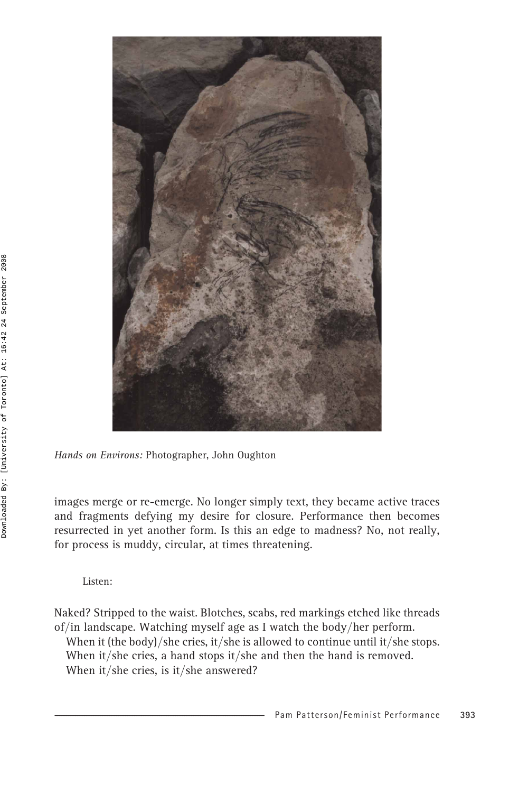

Hands on Environs: Photographer, John Oughton

images merge or re-emerge. No longer simply text, they became active traces and fragments defying my desire for closure. Performance then becomes resurrected in yet another form. Is this an edge to madness? No, not really, for process is muddy, circular, at times threatening.

Listen:

Naked? Stripped to the waist. Blotches, scabs, red markings etched like threads of/in landscape. Watching myself age as I watch the body/her perform.

When it (the body)/she cries, it/she is allowed to continue until it/she stops. When it/she cries, a hand stops it/she and then the hand is removed. When it/she cries, is it/she answered?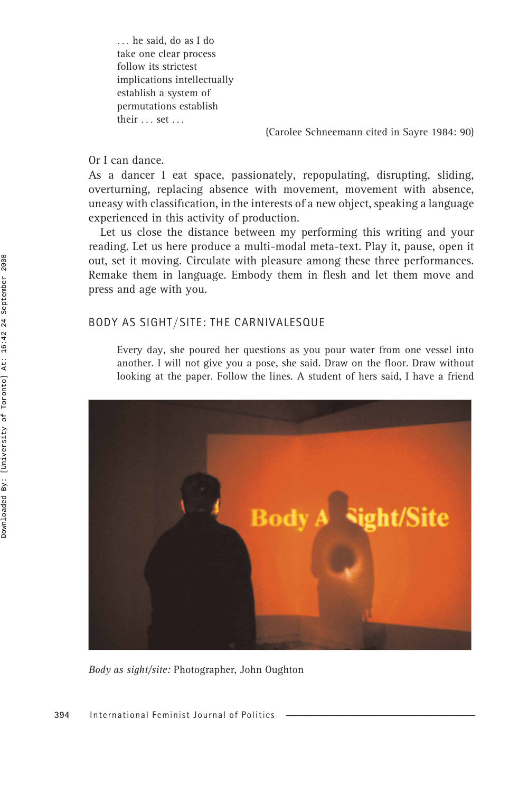... he said, do as I do take one clear process follow its strictest implications intellectually establish a system of permutations establish their ... set ...

(Carolee Schneemann cited in Sayre 1984: 90)

# Or I can dance.

As a dancer I eat space, passionately, repopulating, disrupting, sliding, overturning, replacing absence with movement, movement with absence, uneasy with classification, in the interests of a new object, speaking a language experienced in this activity of production.

Let us close the distance between my performing this writing and your reading. Let us here produce a multi-modal meta-text. Play it, pause, open it out, set it moving. Circulate with pleasure among these three performances. Remake them in language. Embody them in flesh and let them move and press and age with you.

#### BODY AS SIGHT/SITE: THE CARNIVALESQUE

Every day, she poured her questions as you pour water from one vessel into another. I will not give you a pose, she said. Draw on the floor. Draw without looking at the paper. Follow the lines. A student of hers said, I have a friend



Body as sight/site: Photographer, John Oughton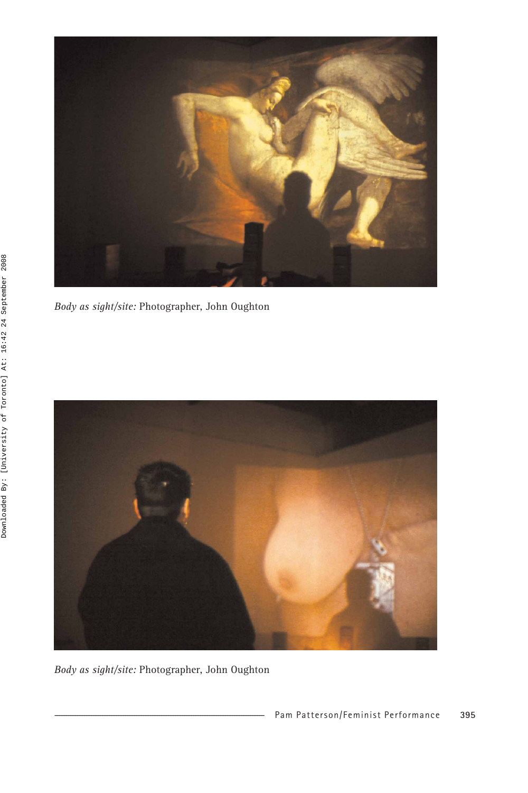

Body as sight/site: Photographer, John Oughton



Body as sight/site: Photographer, John Oughton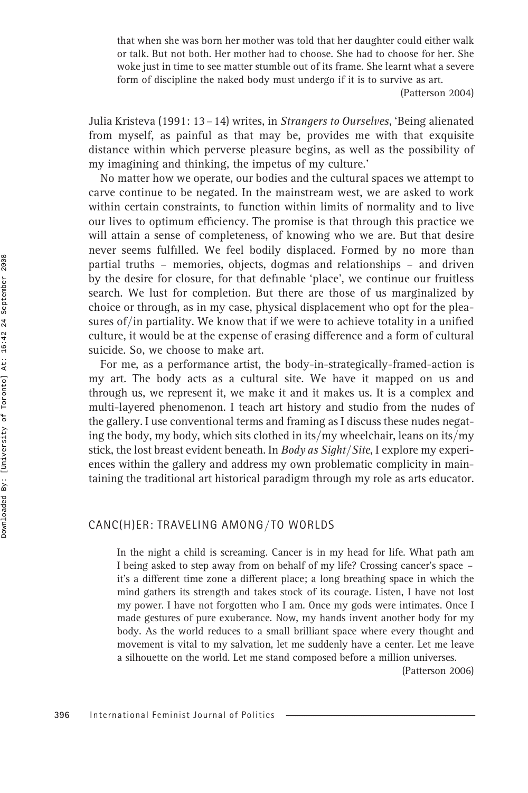that when she was born her mother was told that her daughter could either walk or talk. But not both. Her mother had to choose. She had to choose for her. She woke just in time to see matter stumble out of its frame. She learnt what a severe form of discipline the naked body must undergo if it is to survive as art.

(Patterson 2004)

Julia Kristeva (1991: 13–14) writes, in Strangers to Ourselves, 'Being alienated from myself, as painful as that may be, provides me with that exquisite distance within which perverse pleasure begins, as well as the possibility of my imagining and thinking, the impetus of my culture.'

No matter how we operate, our bodies and the cultural spaces we attempt to carve continue to be negated. In the mainstream west, we are asked to work within certain constraints, to function within limits of normality and to live our lives to optimum efficiency. The promise is that through this practice we will attain a sense of completeness, of knowing who we are. But that desire never seems fulfilled. We feel bodily displaced. Formed by no more than partial truths – memories, objects, dogmas and relationships – and driven by the desire for closure, for that definable 'place', we continue our fruitless search. We lust for completion. But there are those of us marginalized by choice or through, as in my case, physical displacement who opt for the pleasures of/in partiality. We know that if we were to achieve totality in a unified culture, it would be at the expense of erasing difference and a form of cultural suicide. So, we choose to make art.

For me, as a performance artist, the body-in-strategically-framed-action is my art. The body acts as a cultural site. We have it mapped on us and through us, we represent it, we make it and it makes us. It is a complex and multi-layered phenomenon. I teach art history and studio from the nudes of the gallery. I use conventional terms and framing as I discuss these nudes negating the body, my body, which sits clothed in its/my wheelchair, leans on its/my stick, the lost breast evident beneath. In Body as Sight/Site, I explore my experiences within the gallery and address my own problematic complicity in maintaining the traditional art historical paradigm through my role as arts educator.

# CANC(H)ER: TRAVELING AMONG/TO WORLDS

In the night a child is screaming. Cancer is in my head for life. What path am I being asked to step away from on behalf of my life? Crossing cancer's space – it's a different time zone a different place; a long breathing space in which the mind gathers its strength and takes stock of its courage. Listen, I have not lost my power. I have not forgotten who I am. Once my gods were intimates. Once I made gestures of pure exuberance. Now, my hands invent another body for my body. As the world reduces to a small brilliant space where every thought and movement is vital to my salvation, let me suddenly have a center. Let me leave a silhouette on the world. Let me stand composed before a million universes.

(Patterson 2006)

24 September 2008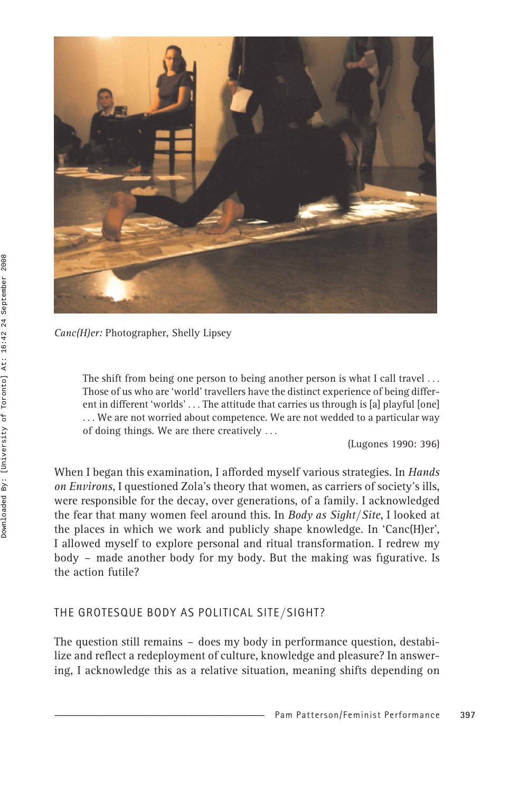

Canc(H)er: Photographer, Shelly Lipsey

The shift from being one person to being another person is what I call travel ... Those of us who are 'world' travellers have the distinct experience of being different in different 'worlds' ... The attitude that carries us through is [a] playful [one] ... We are not worried about competence. We are not wedded to a particular way of doing things. We are there creatively ...

(Lugones 1990: 396)

When I began this examination, I afforded myself various strategies. In *Hands* on Environs, I questioned Zola's theory that women, as carriers of society's ills, were responsible for the decay, over generations, of a family. I acknowledged the fear that many women feel around this. In Body as  $Sight/Site$ , I looked at the places in which we work and publicly shape knowledge. In 'Canc(H)er', I allowed myself to explore personal and ritual transformation. I redrew my body – made another body for my body. But the making was figurative. Is the action futile?

# THE GROTESQUE BODY AS POLITICAL SITE/SIGHT?

The question still remains – does my body in performance question, destabilize and reflect a redeployment of culture, knowledge and pleasure? In answering, I acknowledge this as a relative situation, meaning shifts depending on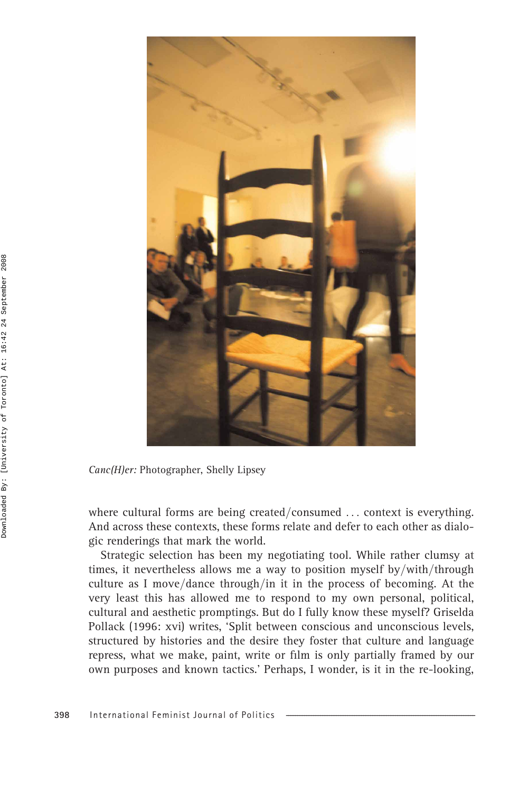

Canc(H)er: Photographer, Shelly Lipsey

where cultural forms are being created/consumed ... context is everything. And across these contexts, these forms relate and defer to each other as dialogic renderings that mark the world.

Strategic selection has been my negotiating tool. While rather clumsy at times, it nevertheless allows me a way to position myself by/with/through culture as I move/dance through/in it in the process of becoming. At the very least this has allowed me to respond to my own personal, political, cultural and aesthetic promptings. But do I fully know these myself? Griselda Pollack (1996: xvi) writes, 'Split between conscious and unconscious levels, structured by histories and the desire they foster that culture and language repress, what we make, paint, write or film is only partially framed by our own purposes and known tactics.' Perhaps, I wonder, is it in the re-looking,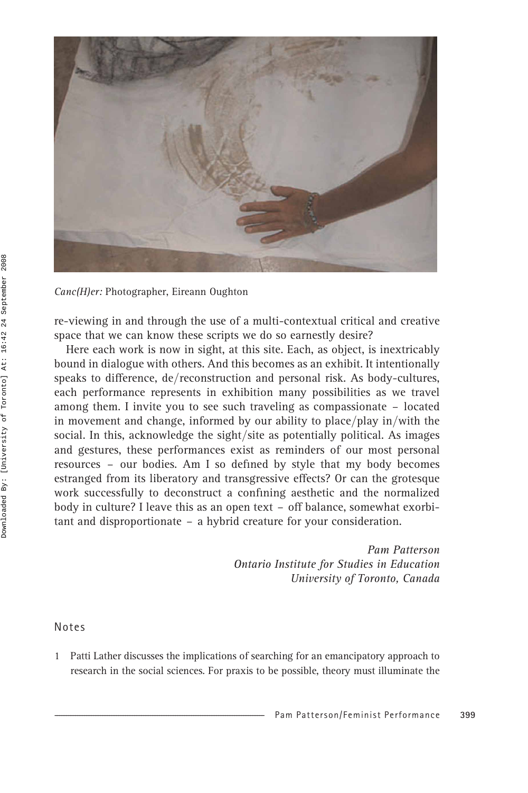

# Canc(H)er: Photographer, Eireann Oughton

re-viewing in and through the use of a multi-contextual critical and creative space that we can know these scripts we do so earnestly desire?

Here each work is now in sight, at this site. Each, as object, is inextricably bound in dialogue with others. And this becomes as an exhibit. It intentionally speaks to difference, de/reconstruction and personal risk. As body-cultures, each performance represents in exhibition many possibilities as we travel among them. I invite you to see such traveling as compassionate – located in movement and change, informed by our ability to place/play in/with the social. In this, acknowledge the sight/site as potentially political. As images and gestures, these performances exist as reminders of our most personal resources – our bodies. Am I so defined by style that my body becomes estranged from its liberatory and transgressive effects? Or can the grotesque work successfully to deconstruct a confining aesthetic and the normalized body in culture? I leave this as an open text – off balance, somewhat exorbitant and disproportionate – a hybrid creature for your consideration.

> Pam Patterson Ontario Institute for Studies in Education University of Toronto, Canada

# Notes

1 Patti Lather discusses the implications of searching for an emancipatory approach to research in the social sciences. For praxis to be possible, theory must illuminate the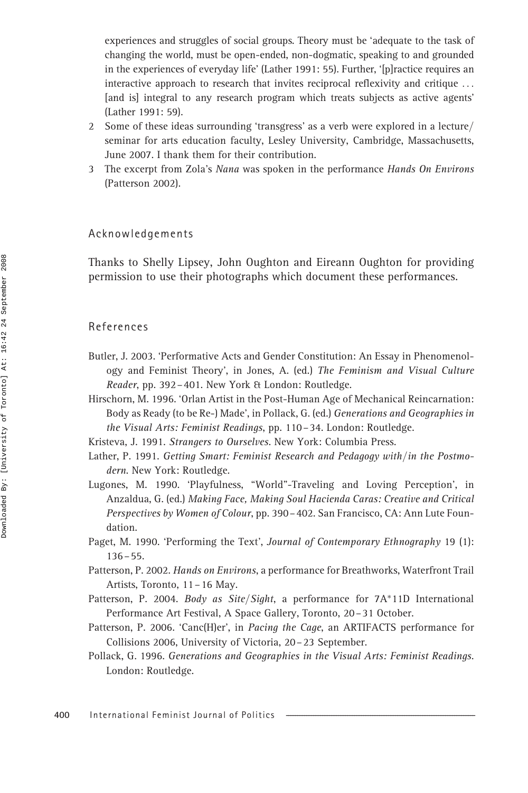experiences and struggles of social groups. Theory must be 'adequate to the task of changing the world, must be open-ended, non-dogmatic, speaking to and grounded in the experiences of everyday life' (Lather 1991: 55). Further, '[p]ractice requires an interactive approach to research that invites reciprocal reflexivity and critique ... [and is] integral to any research program which treats subjects as active agents' (Lather 1991: 59).

- 2 Some of these ideas surrounding 'transgress' as a verb were explored in a lecture/ seminar for arts education faculty, Lesley University, Cambridge, Massachusetts, June 2007. I thank them for their contribution.
- 3 The excerpt from Zola's Nana was spoken in the performance Hands On Environs (Patterson 2002).

# Acknowledgements

Thanks to Shelly Lipsey, John Oughton and Eireann Oughton for providing permission to use their photographs which document these performances.

### References

- Butler, J. 2003. 'Performative Acts and Gender Constitution: An Essay in Phenomenology and Feminist Theory', in Jones, A. (ed.) The Feminism and Visual Culture Reader, pp. 392–401. New York & London: Routledge.
- Hirschorn, M. 1996. 'Orlan Artist in the Post-Human Age of Mechanical Reincarnation: Body as Ready (to be Re-) Made', in Pollack, G. (ed.) Generations and Geographies in the Visual Arts: Feminist Readings, pp. 110–34. London: Routledge.
- Kristeva, J. 1991. Strangers to Ourselves. New York: Columbia Press.
- Lather, P. 1991. Getting Smart: Feminist Research and Pedagogy with/in the Postmodern. New York: Routledge.
- Lugones, M. 1990. 'Playfulness, "World"-Traveling and Loving Perception', in Anzaldua, G. (ed.) Making Face, Making Soul Hacienda Caras: Creative and Critical Perspectives by Women of Colour, pp. 390–402. San Francisco, CA: Ann Lute Foundation.
- Paget, M. 1990. 'Performing the Text', Journal of Contemporary Ethnography 19 (1): 136–55.
- Patterson, P. 2002. Hands on Environs, a performance for Breathworks, Waterfront Trail Artists, Toronto, 11–16 May.
- Patterson, P. 2004. Body as Site/Sight, a performance for  $7A*11D$  International Performance Art Festival, A Space Gallery, Toronto, 20–31 October.
- Patterson, P. 2006. 'Canc(H)er', in Pacing the Cage, an ARTIFACTS performance for Collisions 2006, University of Victoria, 20–23 September.
- Pollack, G. 1996. Generations and Geographies in the Visual Arts: Feminist Readings. London: Routledge.